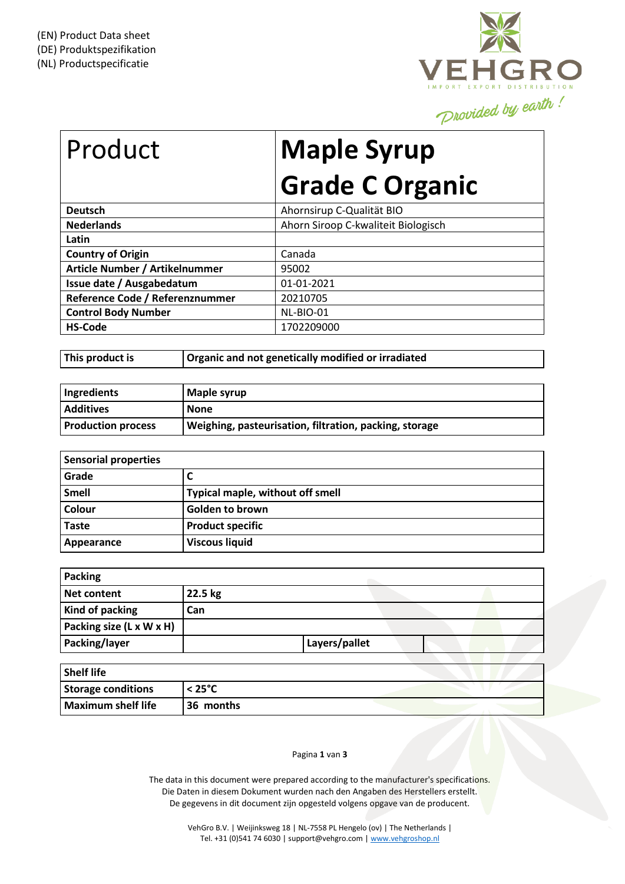

## Product **Maple Syrup Grade C Organic**

| <b>Deutsch</b>                  | Ahornsirup C-Qualität BIO           |
|---------------------------------|-------------------------------------|
| <b>Nederlands</b>               | Ahorn Siroop C-kwaliteit Biologisch |
| Latin                           |                                     |
| <b>Country of Origin</b>        | Canada                              |
| Article Number / Artikelnummer  | 95002                               |
| Issue date / Ausgabedatum       | 01-01-2021                          |
| Reference Code / Referenznummer | 20210705                            |
| <b>Control Body Number</b>      | NL-BIO-01                           |
| <b>HS-Code</b>                  | 1702209000                          |

**This product is Organic and not genetically modified or irradiated**

| Ingredients               | Maple syrup                                            |
|---------------------------|--------------------------------------------------------|
| <b>Additives</b>          | None                                                   |
| <b>Production process</b> | Weighing, pasteurisation, filtration, packing, storage |

| <b>Sensorial properties</b> |                                  |  |
|-----------------------------|----------------------------------|--|
| Grade                       |                                  |  |
| <b>Smell</b>                | Typical maple, without off smell |  |
| Colour                      | <b>Golden to brown</b>           |  |
| <b>Taste</b>                | <b>Product specific</b>          |  |
| Appearance                  | <b>Viscous liquid</b>            |  |

| <b>Packing</b>           |         |               |  |  |
|--------------------------|---------|---------------|--|--|
| Net content              | 22.5 kg |               |  |  |
| Kind of packing          | Can     |               |  |  |
| Packing size (L x W x H) |         |               |  |  |
| Packing/layer            |         | Layers/pallet |  |  |
| <b>Shalf lifa</b>        |         |               |  |  |

| <b>Shelf life</b>         |                  |  |
|---------------------------|------------------|--|
| <b>Storage conditions</b> | $< 25^{\circ}$ C |  |
| <b>Maximum shelf life</b> | 36 months        |  |

## Pagina **1** van **3**

The data in this document were prepared according to the manufacturer's specifications. Die Daten in diesem Dokument wurden nach den Angaben des Herstellers erstellt. De gegevens in dit document zijn opgesteld volgens opgave van de producent.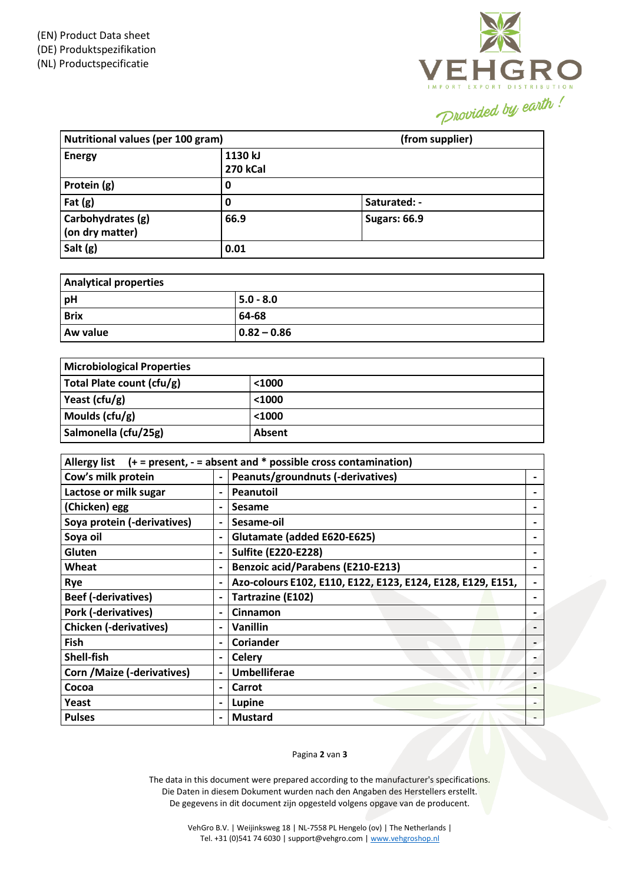

| Nutritional values (per 100 gram)    |                            | (from supplier)     |
|--------------------------------------|----------------------------|---------------------|
| <b>Energy</b>                        | 1130 kJ<br><b>270 kCal</b> |                     |
| Protein (g)                          | 0                          |                     |
| Fat $(g)$                            | 0                          | Saturated: -        |
| Carbohydrates (g)<br>(on dry matter) | 66.9                       | <b>Sugars: 66.9</b> |
| Salt (g)                             | 0.01                       |                     |

| <b>Analytical properties</b> |                 |  |
|------------------------------|-----------------|--|
| pH                           | $5.0 - 8.0$     |  |
| <b>Brix</b>                  | 64-68           |  |
| Aw value                     | $ 0.82 - 0.86 $ |  |

| <b>Microbiological Properties</b> |          |  |  |
|-----------------------------------|----------|--|--|
| Total Plate count (cfu/g)         | $<$ 1000 |  |  |
| Yeast (cfu/g)                     | < 1000   |  |  |
| Moulds (cfu/g)                    | $1000$   |  |  |
| Salmonella (cfu/25g)              | Absent   |  |  |

| Allergy list $(+ = present, - = absent$ and * possible cross contamination) |  |                                                             |                              |
|-----------------------------------------------------------------------------|--|-------------------------------------------------------------|------------------------------|
| Cow's milk protein                                                          |  | Peanuts/groundnuts (-derivatives)                           |                              |
| Lactose or milk sugar                                                       |  | Peanutoil                                                   | $\overline{\phantom{0}}$     |
| (Chicken) egg                                                               |  | Sesame                                                      | $\overline{\phantom{0}}$     |
| Soya protein (-derivatives)                                                 |  | Sesame-oil                                                  |                              |
| Soya oil                                                                    |  | Glutamate (added E620-E625)                                 |                              |
| Gluten                                                                      |  | <b>Sulfite (E220-E228)</b>                                  |                              |
| Wheat                                                                       |  | <b>Benzoic acid/Parabens (E210-E213)</b>                    |                              |
| Rye                                                                         |  | Azo-colours E102, E110, E122, E123, E124, E128, E129, E151, |                              |
| <b>Beef (-derivatives)</b>                                                  |  | <b>Tartrazine (E102)</b>                                    |                              |
| <b>Pork (-derivatives)</b>                                                  |  | <b>Cinnamon</b>                                             |                              |
| <b>Chicken (-derivatives)</b>                                               |  | Vanillin                                                    |                              |
| <b>Fish</b>                                                                 |  | Coriander                                                   | $\qquad \qquad \blacksquare$ |
| Shell-fish                                                                  |  | <b>Celery</b>                                               |                              |
| <b>Corn / Maize (-derivatives)</b>                                          |  | <b>Umbelliferae</b>                                         |                              |
| Cocoa                                                                       |  | Carrot                                                      |                              |
| Yeast                                                                       |  | Lupine                                                      |                              |
| <b>Pulses</b>                                                               |  | <b>Mustard</b>                                              |                              |

## Pagina **2** van **3**

The data in this document were prepared according to the manufacturer's specifications. Die Daten in diesem Dokument wurden nach den Angaben des Herstellers erstellt. De gegevens in dit document zijn opgesteld volgens opgave van de producent.